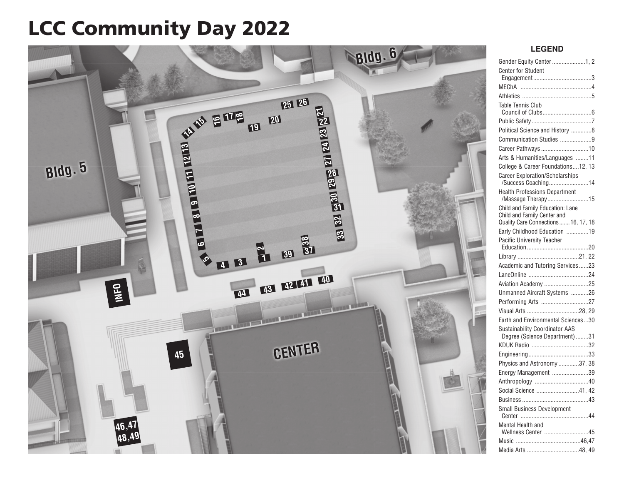# LCC Community Day 2022



## **LEGEND**

| Gender Equity Center 1, 2                                           |
|---------------------------------------------------------------------|
| <b>Center for Student</b>                                           |
|                                                                     |
|                                                                     |
|                                                                     |
| Table Tennis Club                                                   |
|                                                                     |
| Political Science and History 8                                     |
| Communication Studies 9                                             |
| Career Pathways 10                                                  |
| Arts & Humanities/Languages 11                                      |
| College & Career Foundations12, 13                                  |
| <b>Career Exploration/Scholarships</b>                              |
| /Success Coaching14                                                 |
| <b>Health Professions Department</b>                                |
| /Massage Therapy15                                                  |
| Child and Family Education: Lane                                    |
| Child and Family Center and<br>Quality Care Connections  16, 17, 18 |
| Early Childhood Education 19                                        |
| Pacific University Teacher                                          |
|                                                                     |
|                                                                     |
| Academic and Tutoring Services23                                    |
|                                                                     |
| Aviation Academy 25                                                 |
| Unmanned Aircraft Systems 26                                        |
| Performing Arts 27                                                  |
| Visual Arts 28, 29                                                  |
| Earth and Environmental Sciences30                                  |
| <b>Sustainability Coordinator AAS</b>                               |
| Degree (Science Department) 31                                      |
|                                                                     |
|                                                                     |
| Physics and Astronomy 37, 38                                        |
| Energy Management 39                                                |
|                                                                     |
| Social Science 41, 42                                               |
|                                                                     |
| <b>Small Business Development</b>                                   |
| Mental Health and                                                   |
| Wellness Center 45                                                  |
|                                                                     |
| Media Arts 48, 49                                                   |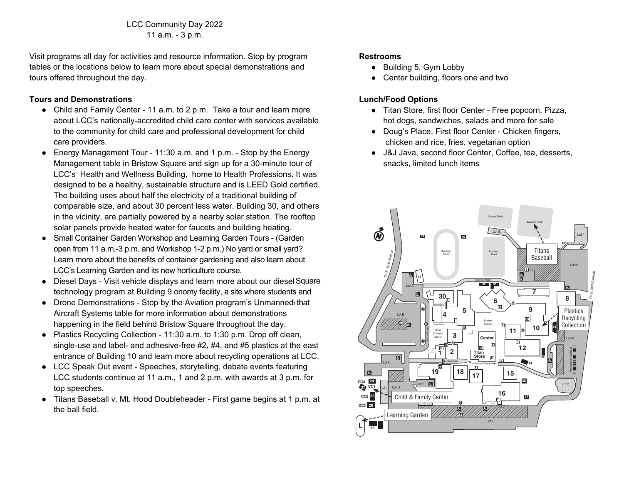LCC Community Day 2022 11 a.m. - 3 p.m. tours offered throughout the day.

Visit programs all day for activities and resource information. Stop by program **Tours and Demonstrations**  tables or the locations below to learn more about special demonstrations and tours offered throughout the day. The care center with services available child care center with services available

### **Tours and Demonstrations**

- Child and Family Center 11 a.m. to 2 p.m. Take a tour and learn more about LCC's nationally-accredited child care center with services available to the community for child care and professional development for child designed to be a health structure and is leader to be a health structure and is leader to be a health structure and is leader to be a health structure and is leader to be a health structure and is leader to be a health str
- Energy Management Tour 11:30 a.m. and 1 p.m. Stop by the Energy Management table in Bristow Square and sign up for a 30-minute tour of LCC's Health and Wellness Building, home to Health Professions. It was designed to be a healthy, sustainable structure and is LEED Gold certified. The building uses about half the electricity of a traditional building of comparable size, and about 30 percent less water. Building 30, and others in the vicinity, are partially powered by a nearby solar station. The rooftop solar panels provide heated water for faucets and building heating.
- Small Container Garden Workshop and Learning Garden Tours (Garden open from 11 a.m.-3 p.m. and Workshop 1-2 p.m.) No yard or small yard? Learn more about the benefits of container gardening and also learn about LCC's Learning Garden and its new horticulture course.
- Diesel Days Visit vehicle displays and learn more about our diesel Square technology program at Building 9.onomy facility, a site where students and
- Drone Demonstrations Stop by the Aviation program's Unmanned) that Aircraft Systems table for more information about demonstrations happening in the field behind Bristow Square throughout the day.
- Plastics Recycling Collection 11:30 a.m. to 1:30 p.m. Drop off clean, single-use and label- and adhesive-free #2, #4, and #5 plastics at the east entrance of Building 10 and learn more about recycling operations at LCC.
- LCC Speak Out event Speeches, storytelling, debate events featuring LCC students continue at 11 a.m., 1 and 2 p.m. with awards at 3 p.m. for top speeches. The east of and  $\epsilon$  and  $\epsilon$  and  $\epsilon$  and  $\epsilon$  at the east the east the east the east the east the east the east the east the east the east the east the east the east the east the east the east the east the
- Titans Baseball v. Mt. Hood Doubleheader First game begins at 1 p.m. at the ball field. The speeches of the specific storytelling, debate events featuring featuring  $\mathcal{L}$

### **Restrooms**

- Building 5, Gym Lobby
- Center building, floors one and two

## **Lunch/Food Options**

- Titan Store, first floor Center Free popcorn. Pizza, hot dogs, sandwiches, salads and more for sale
- Doug's Place, First floor Center Chicken fingers, chicken and rice, fries, vegetarian option
- J&J Java, second floor Center, Coffee, tea, desserts, snacks, limited lunch items

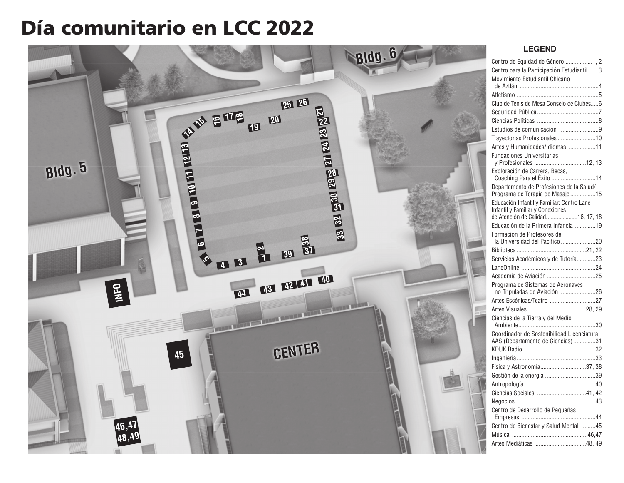# Día comunitario en LCC 2022



## **LEGEND**

| Centro de Equidad de Género1, 2                                                |
|--------------------------------------------------------------------------------|
| Centro para la Participación Estudiantil3                                      |
| Movimiento Estudiantil Chicano                                                 |
|                                                                                |
| Club de Tenis de Mesa Consejo de Clubes6                                       |
|                                                                                |
|                                                                                |
| Estudios de comunicacion 9                                                     |
| Trayectorias Profesionales10                                                   |
| Artes y Humanidades/Idiomas 11                                                 |
|                                                                                |
| Fundaciones Universitarias<br>y Profesionales 12, 13                           |
| .<br>Exploración de Carrera, Becas,<br>Coaching Para el Éxito 14               |
| Departamento de Profesiones de la Salud/                                       |
| Programa de Terapia de Masaje 15                                               |
| Educación Infantil y Familiar: Centro Lane<br>Infantil y Familiar y Conexiones |
| de Atención de Calidad16, 17, 18                                               |
| Educación de la Primera Infancia 19                                            |
| Formación de Profesores de                                                     |
|                                                                                |
| Servicios Académicos y de Tutoría23                                            |
|                                                                                |
|                                                                                |
| Programa de Sistemas de Aeronaves<br>no Tripuladas de Aviación 26              |
|                                                                                |
|                                                                                |
|                                                                                |
| Coordinador de Sostenibilidad Licenciatura                                     |
| AAS (Departamento de Ciencias)31                                               |
|                                                                                |
|                                                                                |
| Física y Astronomía37, 38                                                      |
| Gestión de la energía 39                                                       |
|                                                                                |
| Ciencias Sociales 41, 42                                                       |
|                                                                                |
| Centro de Desarrollo de Pequeñas                                               |
| Centro de Bienestar y Salud Mental 45                                          |
|                                                                                |
| Artes Mediáticas 48, 49                                                        |
|                                                                                |